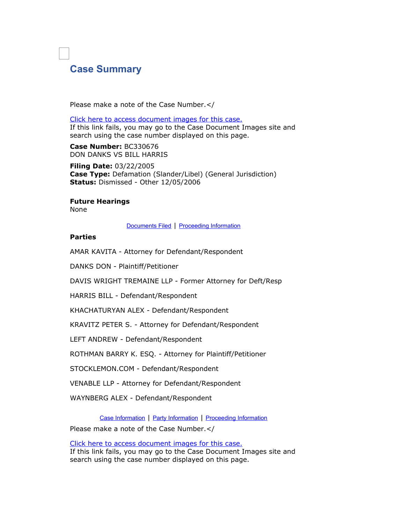## **Case Summary**

Please make a note of the Case Number.</

Click here to access [document](https://www.lasuperiorcourt.org/onlineservices/civilImages/externalAppLink.aspx?casenumber=BC330676) images for this case. If this link fails, you may go to the Case Document Images site and search using the case number displayed on this page.

**Case Number:** BC330676 DON DANKS VS BILL HARRIS

**Filing Date:** 03/22/2005 **Case Type:** Defamation (Slander/Libel) (General Jurisdiction) **Status:** Dismissed - Other 12/05/2006

## **Future Hearings**

None

[Documents Filed](https://www.lasuperiorcourt.org/civilcasesummary/#DOC) | [Proceeding Information](https://www.lasuperiorcourt.org/civilcasesummary/#EVT)

## **Parties**

AMAR KAVITA - Attorney for Defendant/Respondent

DANKS DON - Plaintiff/Petitioner

DAVIS WRIGHT TREMAINE LLP - Former Attorney for Deft/Resp

HARRIS BILL - Defendant/Respondent

KHACHATURYAN ALEX - Defendant/Respondent

KRAVITZ PETER S. - Attorney for Defendant/Respondent

LEFT ANDREW - Defendant/Respondent

ROTHMAN BARRY K. ESQ. - Attorney for Plaintiff/Petitioner

STOCKLEMON.COM - Defendant/Respondent

VENABLE LLP - Attorney for Defendant/Respondent

WAYNBERG ALEX - Defendant/Respondent

[Case Information](https://www.lasuperiorcourt.org/civilcasesummary/#CAS) | [Party Information](https://www.lasuperiorcourt.org/civilcasesummary/#PTY) | [Proceeding Information](https://www.lasuperiorcourt.org/civilcasesummary/#EVT)

Please make a note of the Case Number.</

Click here to access [document](https://www.lasuperiorcourt.org/onlineservices/civilImages/externalAppLink.aspx?casenumber=BC330676) images for this case. If this link fails, you may go to the Case Document Images site and search using the case number displayed on this page.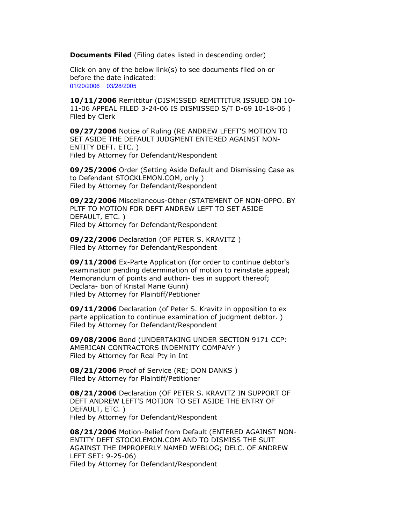**Documents Filed** (Filing dates listed in descending order)

Click on any of the below link(s) to see documents filed on or before the date indicated: [01/20/2006](https://www.lasuperiorcourt.org/civilcasesummary/#DOC21) [03/28/2005](https://www.lasuperiorcourt.org/civilcasesummary/#DOC41)

**10/11/2006** Remittitur (DISMISSED REMITTITUR ISSUED ON 10- 11-06 APPEAL FILED 3-24-06 IS DISMISSED S/T D-69 10-18-06 ) Filed by Clerk

**09/27/2006** Notice of Ruling (RE ANDREW LFEFT'S MOTION TO SET ASIDE THE DEFAULT JUDGMENT ENTERED AGAINST NON-ENTITY DEFT. ETC. ) Filed by Attorney for Defendant/Respondent

**09/25/2006** Order (Setting Aside Default and Dismissing Case as to Defendant STOCKLEMON.COM, only ) Filed by Attorney for Defendant/Respondent

**09/22/2006** Miscellaneous-Other (STATEMENT OF NON-OPPO. BY PLTF TO MOTION FOR DEFT ANDREW LEFT TO SET ASIDE DEFAULT, ETC. ) Filed by Attorney for Defendant/Respondent

**09/22/2006** Declaration (OF PETER S. KRAVITZ ) Filed by Attorney for Defendant/Respondent

**09/11/2006** Ex-Parte Application (for order to continue debtor's examination pending determination of motion to reinstate appeal; Memorandum of points and authori- ties in support thereof; Declara- tion of Kristal Marie Gunn) Filed by Attorney for Plaintiff/Petitioner

**09/11/2006** Declaration (of Peter S. Kravitz in opposition to ex parte application to continue examination of judgment debtor. ) Filed by Attorney for Defendant/Respondent

**09/08/2006** Bond (UNDERTAKING UNDER SECTION 9171 CCP: AMERICAN CONTRACTORS INDEMNITY COMPANY ) Filed by Attorney for Real Pty in Int

**08/21/2006** Proof of Service (RE; DON DANKS ) Filed by Attorney for Plaintiff/Petitioner

**08/21/2006** Declaration (OF PETER S. KRAVITZ IN SUPPORT OF DEFT ANDREW LEFT'S MOTION TO SET ASIDE THE ENTRY OF DEFAULT, ETC. ) Filed by Attorney for Defendant/Respondent

**08/21/2006** Motion-Relief from Default (ENTERED AGAINST NON-ENTITY DEFT STOCKLEMON.COM AND TO DISMISS THE SUIT AGAINST THE IMPROPERLY NAMED WEBLOG; DELC. OF ANDREW LEFT SET: 9-25-06) Filed by Attorney for Defendant/Respondent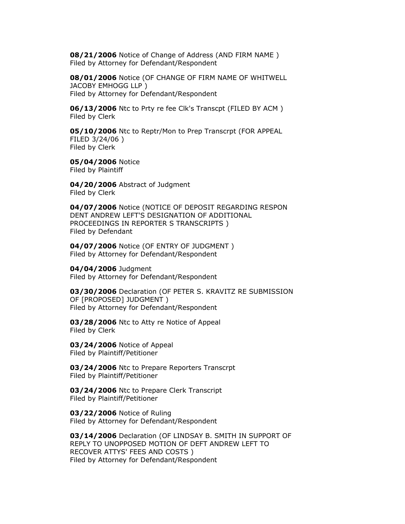**08/21/2006** Notice of Change of Address (AND FIRM NAME ) Filed by Attorney for Defendant/Respondent

**08/01/2006** Notice (OF CHANGE OF FIRM NAME OF WHITWELL JACOBY EMHOGG LLP ) Filed by Attorney for Defendant/Respondent

**06/13/2006** Ntc to Prty re fee Clk's Transcpt (FILED BY ACM ) Filed by Clerk

**05/10/2006** Ntc to Reptr/Mon to Prep Transcrpt (FOR APPEAL FILED 3/24/06 ) Filed by Clerk

**05/04/2006** Notice Filed by Plaintiff

**04/20/2006** Abstract of Judgment Filed by Clerk

**04/07/2006** Notice (NOTICE OF DEPOSIT REGARDING RESPON DENT ANDREW LEFT'S DESIGNATION OF ADDITIONAL PROCEEDINGS IN REPORTER S TRANSCRIPTS ) Filed by Defendant

**04/07/2006** Notice (OF ENTRY OF JUDGMENT ) Filed by Attorney for Defendant/Respondent

**04/04/2006** Judgment Filed by Attorney for Defendant/Respondent

**03/30/2006** Declaration (OF PETER S. KRAVITZ RE SUBMISSION OF [PROPOSED] JUDGMENT ) Filed by Attorney for Defendant/Respondent

**03/28/2006** Ntc to Atty re Notice of Appeal Filed by Clerk

**03/24/2006** Notice of Appeal Filed by Plaintiff/Petitioner

**03/24/2006** Ntc to Prepare Reporters Transcrpt Filed by Plaintiff/Petitioner

**03/24/2006** Ntc to Prepare Clerk Transcript Filed by Plaintiff/Petitioner

**03/22/2006** Notice of Ruling Filed by Attorney for Defendant/Respondent

**03/14/2006** Declaration (OF LINDSAY B. SMITH IN SUPPORT OF REPLY TO UNOPPOSED MOTION OF DEFT ANDREW LEFT TO RECOVER ATTYS' FEES AND COSTS ) Filed by Attorney for Defendant/Respondent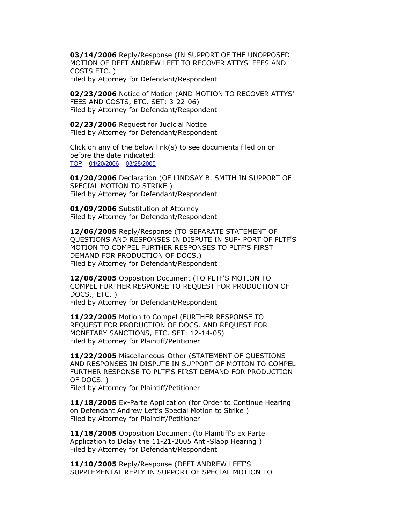**03/14/2006** Reply/Response (IN SUPPORT OF THE UNOPPOSED MOTION OF DEFT ANDREW LEFT TO RECOVER ATTYS' FEES AND COSTS ETC. ) Filed by Attorney for Defendant/Respondent

**02/23/2006** Notice of Motion (AND MOTION TO RECOVER ATTYS' FEES AND COSTS, ETC. SET: 3-22-06) Filed by Attorney for Defendant/Respondent

**02/23/2006** Request for Judicial Notice Filed by Attorney for Defendant/Respondent

Click on any of the below link(s) to see documents filed on or before the date indicated: [TOP](https://www.lasuperiorcourt.org/civilcasesummary/#DOC) [01/20/2006](https://www.lasuperiorcourt.org/civilcasesummary/#DOC21) [03/28/2005](https://www.lasuperiorcourt.org/civilcasesummary/#DOC41)

**01/20/2006** Declaration (OF LINDSAY B. SMITH IN SUPPORT OF SPECIAL MOTION TO STRIKE ) Filed by Attorney for Defendant/Respondent

**01/09/2006** Substitution of Attorney Filed by Attorney for Defendant/Respondent

**12/06/2005** Reply/Response (TO SEPARATE STATEMENT OF QUESTIONS AND RESPONSES IN DISPUTE IN SUP- PORT OF PLTF'S MOTION TO COMPEL FURTHER RESPONSES TO PLTF'S FIRST DEMAND FOR PRODUCTION OF DOCS.) Filed by Attorney for Defendant/Respondent

**12/06/2005** Opposition Document (TO PLTF'S MOTION TO COMPEL FURTHER RESPONSE TO REQUEST FOR PRODUCTION OF DOCS., ETC. ) Filed by Attorney for Defendant/Respondent

**11/22/2005** Motion to Compel (FURTHER RESPONSE TO REQUEST FOR PRODUCTION OF DOCS. AND REQUEST FOR MONETARY SANCTIONS, ETC. SET: 12-14-05) Filed by Attorney for Plaintiff/Petitioner

**11/22/2005** Miscellaneous-Other (STATEMENT OF QUESTIONS AND RESPONSES IN DISPUTE IN SUPPORT OF MOTION TO COMPEL FURTHER RESPONSE TO PLTF'S FIRST DEMAND FOR PRODUCTION OF DOCS. )

Filed by Attorney for Plaintiff/Petitioner

**11/18/2005** Ex-Parte Application (for Order to Continue Hearing on Defendant Andrew Left's Special Motion to Strike ) Filed by Attorney for Plaintiff/Petitioner

**11/18/2005** Opposition Document (to Plaintiff's Ex Parte Application to Delay the 11-21-2005 Anti-Slapp Hearing ) Filed by Attorney for Defendant/Respondent

**11/10/2005** Reply/Response (DEFT ANDREW LEFT'S SUPPLEMENTAL REPLY IN SUPPORT OF SPECIAL MOTION TO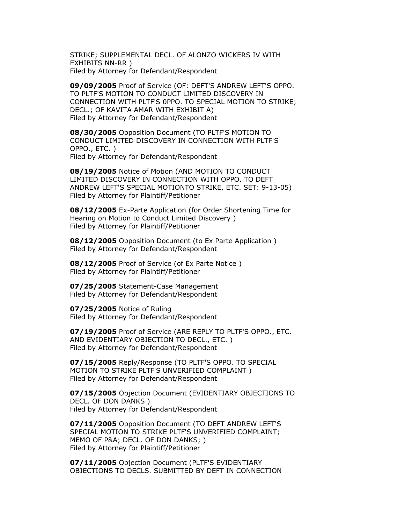STRIKE; SUPPLEMENTAL DECL. OF ALONZO WICKERS IV WITH EXHIBITS NN-RR ) Filed by Attorney for Defendant/Respondent

**09/09/2005** Proof of Service (OF: DEFT'S ANDREW LEFT'S OPPO. TO PLTF'S MOTION TO CONDUCT LIMITED DISCOVERY IN CONNECTION WITH PLTF'S 0PPO. TO SPECIAL MOTION TO STRIKE; DECL.; OF KAVITA AMAR WITH EXHIBIT A) Filed by Attorney for Defendant/Respondent

**08/30/2005** Opposition Document (TO PLTF'S MOTION TO CONDUCT LIMITED DISCOVERY IN CONNECTION WITH PLTF'S OPPO., ETC. ) Filed by Attorney for Defendant/Respondent

**08/19/2005** Notice of Motion (AND MOTION TO CONDUCT LIMITED DISCOVERY IN CONNECTION WITH OPPO. TO DEFT ANDREW LEFT'S SPECIAL MOTIONTO STRIKE, ETC. SET: 9-13-05) Filed by Attorney for Plaintiff/Petitioner

**08/12/2005** Ex-Parte Application (for Order Shortening Time for Hearing on Motion to Conduct Limited Discovery ) Filed by Attorney for Plaintiff/Petitioner

**08/12/2005** Opposition Document (to Ex Parte Application ) Filed by Attorney for Defendant/Respondent

**08/12/2005** Proof of Service (of Ex Parte Notice ) Filed by Attorney for Plaintiff/Petitioner

**07/25/2005** Statement-Case Management Filed by Attorney for Defendant/Respondent

**07/25/2005** Notice of Ruling Filed by Attorney for Defendant/Respondent

**07/19/2005** Proof of Service (ARE REPLY TO PLTF'S OPPO., ETC. AND EVIDENTIARY OBJECTION TO DECL., ETC. ) Filed by Attorney for Defendant/Respondent

**07/15/2005** Reply/Response (TO PLTF'S OPPO. TO SPECIAL MOTION TO STRIKE PLTF'S UNVERIFIED COMPLAINT ) Filed by Attorney for Defendant/Respondent

**07/15/2005** Objection Document (EVIDENTIARY OBJECTIONS TO DECL. OF DON DANKS ) Filed by Attorney for Defendant/Respondent

**07/11/2005** Opposition Document (TO DEFT ANDREW LEFT'S SPECIAL MOTION TO STRIKE PLTF'S UNVERIFIED COMPLAINT; MEMO OF P&A; DECL. OF DON DANKS; ) Filed by Attorney for Plaintiff/Petitioner

**07/11/2005** Objection Document (PLTF'S EVIDENTIARY OBJECTIONS TO DECLS. SUBMITTED BY DEFT IN CONNECTION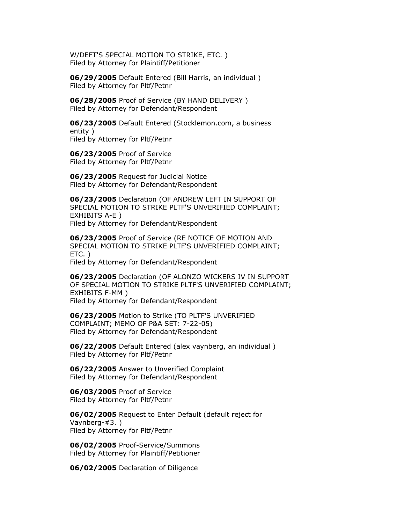W/DEFT'S SPECIAL MOTION TO STRIKE, ETC. ) Filed by Attorney for Plaintiff/Petitioner

**06/29/2005** Default Entered (Bill Harris, an individual ) Filed by Attorney for Pltf/Petnr

**06/28/2005** Proof of Service (BY HAND DELIVERY ) Filed by Attorney for Defendant/Respondent

**06/23/2005** Default Entered (Stocklemon.com, a business entity ) Filed by Attorney for Pltf/Petnr

**06/23/2005** Proof of Service Filed by Attorney for Pltf/Petnr

**06/23/2005** Request for Judicial Notice Filed by Attorney for Defendant/Respondent

**06/23/2005** Declaration (OF ANDREW LEFT IN SUPPORT OF SPECIAL MOTION TO STRIKE PLTF'S UNVERIFIED COMPLAINT; EXHIBITS A-E ) Filed by Attorney for Defendant/Respondent

**06/23/2005** Proof of Service (RE NOTICE OF MOTION AND SPECIAL MOTION TO STRIKE PLTF'S UNVERIFIED COMPLAINT; ETC. )

Filed by Attorney for Defendant/Respondent

**06/23/2005** Declaration (OF ALONZO WICKERS IV IN SUPPORT OF SPECIAL MOTION TO STRIKE PLTF'S UNVERIFIED COMPLAINT; EXHIBITS F-MM ) Filed by Attorney for Defendant/Respondent

**06/23/2005** Motion to Strike (TO PLTF'S UNVERIFIED COMPLAINT; MEMO OF P&A SET: 7-22-05) Filed by Attorney for Defendant/Respondent

**06/22/2005** Default Entered (alex vaynberg, an individual ) Filed by Attorney for Pltf/Petnr

**06/22/2005** Answer to Unverified Complaint Filed by Attorney for Defendant/Respondent

**06/03/2005** Proof of Service Filed by Attorney for Pltf/Petnr

**06/02/2005** Request to Enter Default (default reject for Vaynberg-#3. ) Filed by Attorney for Pltf/Petnr

**06/02/2005** Proof-Service/Summons Filed by Attorney for Plaintiff/Petitioner

**06/02/2005** Declaration of Diligence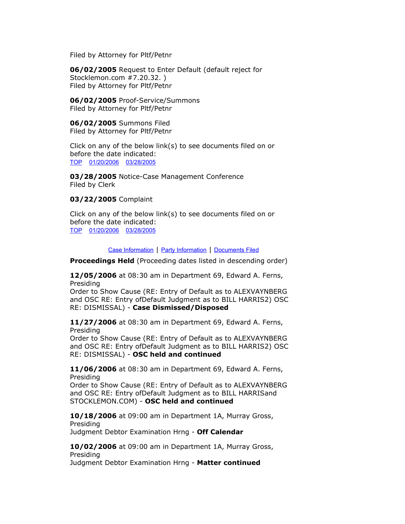Filed by Attorney for Pltf/Petnr

**06/02/2005** Request to Enter Default (default reject for Stocklemon.com #7.20.32. ) Filed by Attorney for Pltf/Petnr

**06/02/2005** Proof-Service/Summons Filed by Attorney for Pltf/Petnr

**06/02/2005** Summons Filed Filed by Attorney for Pltf/Petnr

Click on any of the below link(s) to see documents filed on or before the date indicated: [TOP](https://www.lasuperiorcourt.org/civilcasesummary/#DOC) [01/20/2006](https://www.lasuperiorcourt.org/civilcasesummary/#DOC21) [03/28/2005](https://www.lasuperiorcourt.org/civilcasesummary/#DOC41)

**03/28/2005** Notice-Case Management Conference Filed by Clerk

**03/22/2005** Complaint

Click on any of the below link(s) to see documents filed on or before the date indicated: [TOP](https://www.lasuperiorcourt.org/civilcasesummary/#DOC) [01/20/2006](https://www.lasuperiorcourt.org/civilcasesummary/#DOC21) [03/28/2005](https://www.lasuperiorcourt.org/civilcasesummary/#DOC41)

[Case Information](https://www.lasuperiorcourt.org/civilcasesummary/#CAS) | [Party Information](https://www.lasuperiorcourt.org/civilcasesummary/#PTY) | [Documents Filed](https://www.lasuperiorcourt.org/civilcasesummary/#DOC)

**Proceedings Held** (Proceeding dates listed in descending order)

**12/05/2006** at 08:30 am in Department 69, Edward A. Ferns, Presiding

Order to Show Cause (RE: Entry of Default as to ALEXVAYNBERG and OSC RE: Entry ofDefault Judgment as to BILL HARRIS2) OSC RE: DISMISSAL) - **Case Dismissed/Disposed**

**11/27/2006** at 08:30 am in Department 69, Edward A. Ferns, Presiding

Order to Show Cause (RE: Entry of Default as to ALEXVAYNBERG and OSC RE: Entry ofDefault Judgment as to BILL HARRIS2) OSC RE: DISMISSAL) - **OSC held and continued**

**11/06/2006** at 08:30 am in Department 69, Edward A. Ferns, Presiding Order to Show Cause (RE: Entry of Default as to ALEXVAYNBERG

and OSC RE: Entry ofDefault Judgment as to BILL HARRISand STOCKLEMON.COM) - **OSC held and continued**

**10/18/2006** at 09:00 am in Department 1A, Murray Gross, Presiding Judgment Debtor Examination Hrng - **Off Calendar**

**10/02/2006** at 09:00 am in Department 1A, Murray Gross, Presiding Judgment Debtor Examination Hrng - **Matter continued**